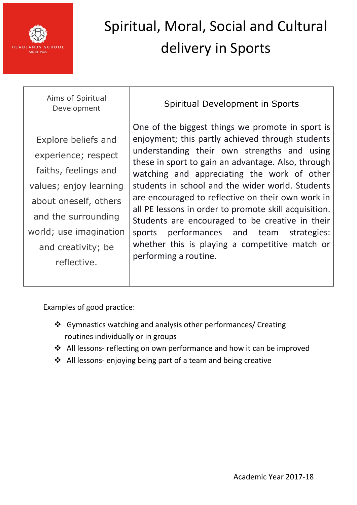

| Aims of Spiritual<br>Development                                                                                                                                                                            | Spiritual Development in Sports                                                                                                                                                                                                                                                                                                                                                                                                                                                                                                                                                                            |
|-------------------------------------------------------------------------------------------------------------------------------------------------------------------------------------------------------------|------------------------------------------------------------------------------------------------------------------------------------------------------------------------------------------------------------------------------------------------------------------------------------------------------------------------------------------------------------------------------------------------------------------------------------------------------------------------------------------------------------------------------------------------------------------------------------------------------------|
| Explore beliefs and<br>experience; respect<br>faiths, feelings and<br>values; enjoy learning<br>about oneself, others<br>and the surrounding<br>world; use imagination<br>and creativity; be<br>reflective. | One of the biggest things we promote in sport is<br>enjoyment; this partly achieved through students<br>understanding their own strengths and using<br>these in sport to gain an advantage. Also, through<br>watching and appreciating the work of other<br>students in school and the wider world. Students<br>are encouraged to reflective on their own work in<br>all PE lessons in order to promote skill acquisition.<br>Students are encouraged to be creative in their<br>performances and team<br>strategies:<br>sports<br>whether this is playing a competitive match or<br>performing a routine. |

- Gymnastics watching and analysis other performances/ Creating routines individually or in groups
- All lessons- reflecting on own performance and how it can be improved
- All lessons- enjoying being part of a team and being creative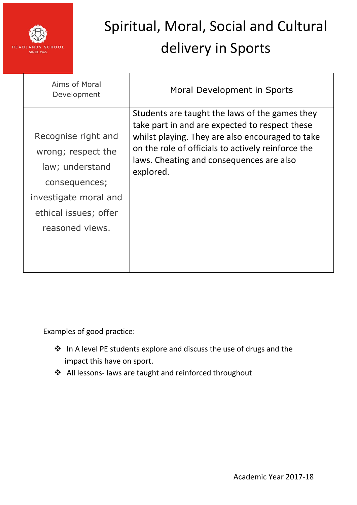

| Aims of Moral<br>Development                                                                                                                       | Moral Development in Sports                                                                                                                                                                                                                                         |
|----------------------------------------------------------------------------------------------------------------------------------------------------|---------------------------------------------------------------------------------------------------------------------------------------------------------------------------------------------------------------------------------------------------------------------|
| Recognise right and<br>wrong; respect the<br>law; understand<br>consequences;<br>investigate moral and<br>ethical issues; offer<br>reasoned views. | Students are taught the laws of the games they<br>take part in and are expected to respect these<br>whilst playing. They are also encouraged to take<br>on the role of officials to actively reinforce the<br>laws. Cheating and consequences are also<br>explored. |

- In A level PE students explore and discuss the use of drugs and the impact this have on sport.
- All lessons- laws are taught and reinforced throughout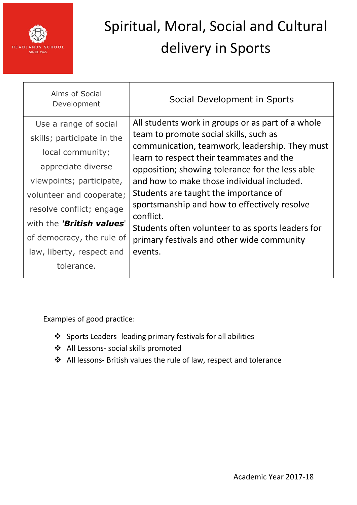

| Aims of Social<br>Development | Social Development in Sports                                                                                                                                                            |
|-------------------------------|-----------------------------------------------------------------------------------------------------------------------------------------------------------------------------------------|
| Use a range of social         | All students work in groups or as part of a whole                                                                                                                                       |
| skills; participate in the    | team to promote social skills, such as<br>communication, teamwork, leadership. They must<br>learn to respect their teammates and the<br>opposition; showing tolerance for the less able |
| local community;              |                                                                                                                                                                                         |
| appreciate diverse            |                                                                                                                                                                                         |
| viewpoints; participate,      | and how to make those individual included.                                                                                                                                              |
| volunteer and cooperate;      | Students are taught the importance of                                                                                                                                                   |
| resolve conflict; engage      | sportsmanship and how to effectively resolve<br>conflict.                                                                                                                               |
| with the 'British values'     | Students often volunteer to as sports leaders for                                                                                                                                       |
| of democracy, the rule of     | primary festivals and other wide community                                                                                                                                              |
| law, liberty, respect and     | events.                                                                                                                                                                                 |
| tolerance.                    |                                                                                                                                                                                         |

- Sports Leaders- leading primary festivals for all abilities
- All Lessons- social skills promoted
- All lessons- British values the rule of law, respect and tolerance